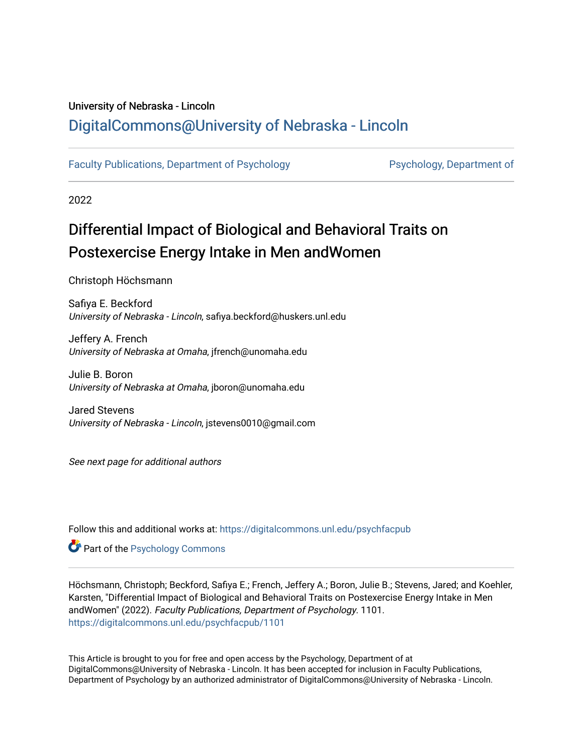## University of Nebraska - Lincoln [DigitalCommons@University of Nebraska - Lincoln](https://digitalcommons.unl.edu/)

[Faculty Publications, Department of Psychology](https://digitalcommons.unl.edu/psychfacpub) **Partment of Psychology**, Department of

2022

## Differential Impact of Biological and Behavioral Traits on Postexercise Energy Intake in Men andWomen

Christoph Höchsmann

Safiya E. Beckford University of Nebraska - Lincoln, safiya.beckford@huskers.unl.edu

Jeffery A. French University of Nebraska at Omaha, jfrench@unomaha.edu

Julie B. Boron University of Nebraska at Omaha, jboron@unomaha.edu

Jared Stevens University of Nebraska - Lincoln, jstevens0010@gmail.com

See next page for additional authors

Follow this and additional works at: [https://digitalcommons.unl.edu/psychfacpub](https://digitalcommons.unl.edu/psychfacpub?utm_source=digitalcommons.unl.edu%2Fpsychfacpub%2F1101&utm_medium=PDF&utm_campaign=PDFCoverPages) 

**Part of the Psychology Commons** 

Höchsmann, Christoph; Beckford, Safiya E.; French, Jeffery A.; Boron, Julie B.; Stevens, Jared; and Koehler, Karsten, "Differential Impact of Biological and Behavioral Traits on Postexercise Energy Intake in Men andWomen" (2022). Faculty Publications, Department of Psychology. 1101. [https://digitalcommons.unl.edu/psychfacpub/1101](https://digitalcommons.unl.edu/psychfacpub/1101?utm_source=digitalcommons.unl.edu%2Fpsychfacpub%2F1101&utm_medium=PDF&utm_campaign=PDFCoverPages)

This Article is brought to you for free and open access by the Psychology, Department of at DigitalCommons@University of Nebraska - Lincoln. It has been accepted for inclusion in Faculty Publications, Department of Psychology by an authorized administrator of DigitalCommons@University of Nebraska - Lincoln.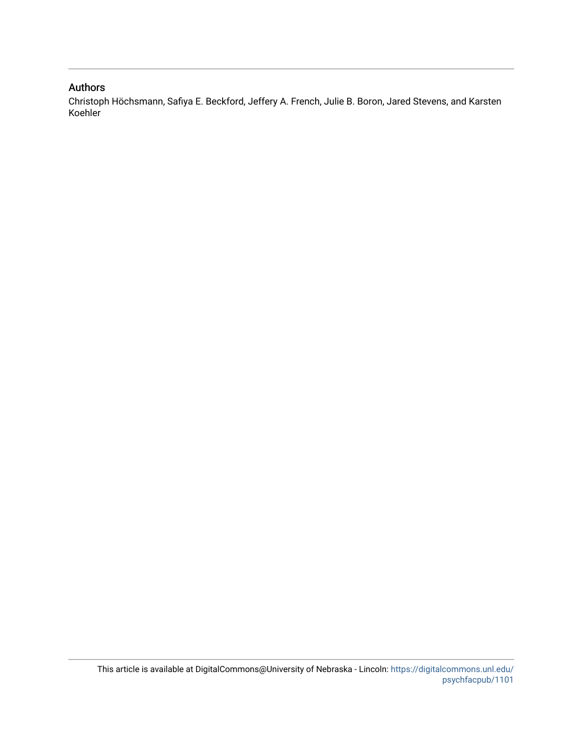## Authors

Christoph Höchsmann, Safiya E. Beckford, Jeffery A. French, Julie B. Boron, Jared Stevens, and Karsten Koehler